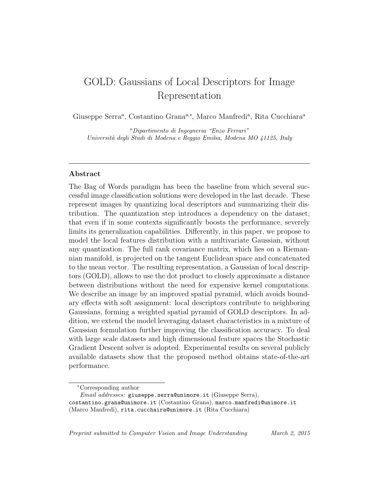# GOLD: Gaussians of Local Descriptors for Image Representation

Giuseppe Serra<sup>a</sup>, Costantino Grana<sup>a,\*</sup>, Marco Manfredi<sup>a</sup>, Rita Cucchiara<sup>a</sup>

<sup>a</sup>Dipartimento di Ingegneria "Enzo Ferrari" Universit`a degli Studi di Modena e Reggio Emilia, Modena MO 41125, Italy

## Abstract

The Bag of Words paradigm has been the baseline from which several successful image classification solutions were developed in the last decade. These represent images by quantizing local descriptors and summarizing their distribution. The quantization step introduces a dependency on the dataset, that even if in some contexts significantly boosts the performance, severely limits its generalization capabilities. Differently, in this paper, we propose to model the local features distribution with a multivariate Gaussian, without any quantization. The full rank covariance matrix, which lies on a Riemannian manifold, is projected on the tangent Euclidean space and concatenated to the mean vector. The resulting representation, a Gaussian of local descriptors (GOLD), allows to use the dot product to closely approximate a distance between distributions without the need for expensive kernel computations. We describe an image by an improved spatial pyramid, which avoids boundary effects with soft assignment: local descriptors contribute to neighboring Gaussians, forming a weighted spatial pyramid of GOLD descriptors. In addition, we extend the model leveraging dataset characteristics in a mixture of Gaussian formulation further improving the classification accuracy. To deal with large scale datasets and high dimensional feature spaces the Stochastic Gradient Descent solver is adopted. Experimental results on several publicly available datasets show that the proposed method obtains state-of-the-art performance.

Email addresses: giuseppe.serra@unimore.it (Giuseppe Serra), costantino.grana@unimore.it (Costantino Grana), marco.manfredi@unimore.it (Marco Manfredi), rita.cucchaira@unimore.it (Rita Cucchiara)

<sup>∗</sup>Corresponding author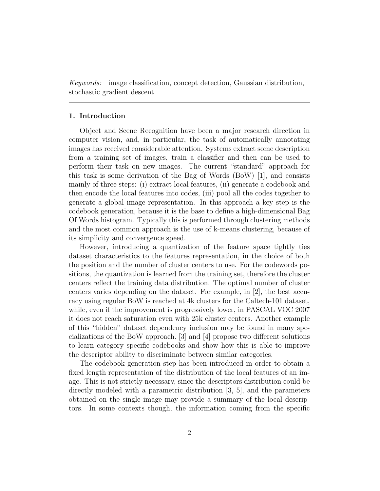Keywords: image classification, concept detection, Gaussian distribution, stochastic gradient descent

## 1. Introduction

Object and Scene Recognition have been a major research direction in computer vision, and, in particular, the task of automatically annotating images has received considerable attention. Systems extract some description from a training set of images, train a classifier and then can be used to perform their task on new images. The current "standard" approach for this task is some derivation of the Bag of Words (BoW) [1], and consists mainly of three steps: (i) extract local features, (ii) generate a codebook and then encode the local features into codes, (iii) pool all the codes together to generate a global image representation. In this approach a key step is the codebook generation, because it is the base to define a high-dimensional Bag Of Words histogram. Typically this is performed through clustering methods and the most common approach is the use of k-means clustering, because of its simplicity and convergence speed.

However, introducing a quantization of the feature space tightly ties dataset characteristics to the features representation, in the choice of both the position and the number of cluster centers to use. For the codewords positions, the quantization is learned from the training set, therefore the cluster centers reflect the training data distribution. The optimal number of cluster centers varies depending on the dataset. For example, in [2], the best accuracy using regular BoW is reached at 4k clusters for the Caltech-101 dataset, while, even if the improvement is progressively lower, in PASCAL VOC 2007 it does not reach saturation even with 25k cluster centers. Another example of this "hidden" dataset dependency inclusion may be found in many specializations of the BoW approach. [3] and [4] propose two different solutions to learn category specific codebooks and show how this is able to improve the descriptor ability to discriminate between similar categories.

The codebook generation step has been introduced in order to obtain a fixed length representation of the distribution of the local features of an image. This is not strictly necessary, since the descriptors distribution could be directly modeled with a parametric distribution [3, 5], and the parameters obtained on the single image may provide a summary of the local descriptors. In some contexts though, the information coming from the specific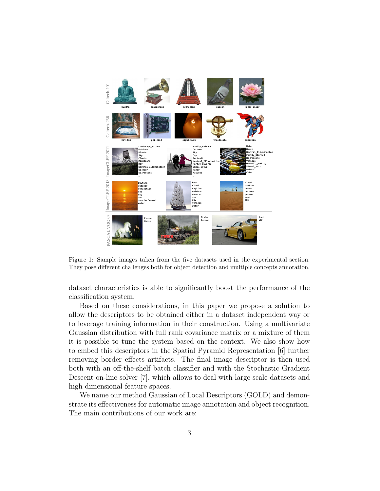

Figure 1: Sample images taken from the five datasets used in the experimental section. They pose different challenges both for object detection and multiple concepts annotation.

dataset characteristics is able to significantly boost the performance of the classification system.

Based on these considerations, in this paper we propose a solution to allow the descriptors to be obtained either in a dataset independent way or to leverage training information in their construction. Using a multivariate Gaussian distribution with full rank covariance matrix or a mixture of them it is possible to tune the system based on the context. We also show how to embed this descriptors in the Spatial Pyramid Representation [6] further removing border effects artifacts. The final image descriptor is then used both with an off-the-shelf batch classifier and with the Stochastic Gradient Descent on-line solver [7], which allows to deal with large scale datasets and high dimensional feature spaces.

We name our method Gaussian of Local Descriptors (GOLD) and demonstrate its effectiveness for automatic image annotation and object recognition. The main contributions of our work are: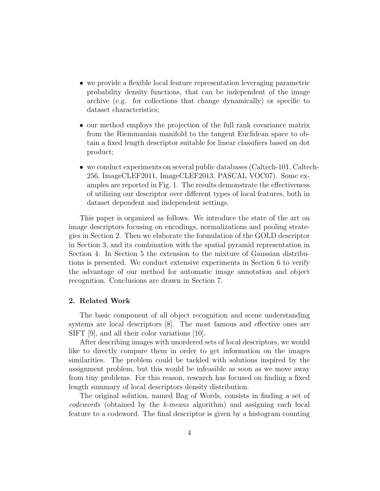- we provide a flexible local feature representation leveraging parametric probability density functions, that can be independent of the image archive (e.g. for collections that change dynamically) or specific to dataset characteristics;
- our method employs the projection of the full rank covariance matrix from the Riemmanian manifold to the tangent Euclidean space to obtain a fixed length descriptor suitable for linear classifiers based on dot product;
- we conduct experiments on several public databases (Caltech-101, Caltech-256, ImageCLEF2011, ImageCLEF2013, PASCAL VOC07). Some examples are reported in Fig. 1. The results demonstrate the effectiveness of utilizing our descriptor over different types of local features, both in dataset dependent and independent settings.

This paper is organized as follows. We introduce the state of the art on image descriptors focusing on encodings, normalizations and pooling strategies in Section 2. Then we elaborate the formulation of the GOLD descriptor in Section 3, and its combination with the spatial pyramid representation in Section 4. In Section 5 the extension to the mixture of Gaussian distributions is presented. We conduct extensive experiments in Section 6 to verify the advantage of our method for automatic image annotation and object recognition. Conclusions are drawn in Section 7.

#### 2. Related Work

The basic component of all object recognition and scene understanding systems are local descriptors [8]. The most famous and effective ones are SIFT [9], and all their color variations [10].

After describing images with unordered sets of local descriptors, we would like to directly compare them in order to get information on the images similarities. The problem could be tackled with solutions inspired by the assignment problem, but this would be infeasible as soon as we move away from tiny problems. For this reason, research has focused on finding a fixed length summary of local descriptors density distribution.

The original solution, named Bag of Words, consists in finding a set of codewords (obtained by the k-means algorithm) and assigning each local feature to a codeword. The final descriptor is given by a histogram counting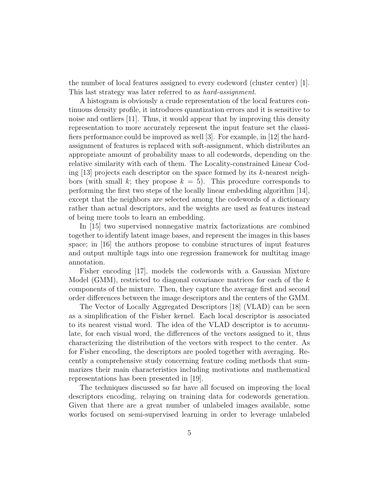the number of local features assigned to every codeword (cluster center) [1]. This last strategy was later referred to as *hard-assignment*.

A histogram is obviously a crude representation of the local features continuous density profile, it introduces quantization errors and it is sensitive to noise and outliers [11]. Thus, it would appear that by improving this density representation to more accurately represent the input feature set the classifiers performance could be improved as well [3]. For example, in [12] the hardassignment of features is replaced with soft-assignment, which distributes an appropriate amount of probability mass to all codewords, depending on the relative similarity with each of them. The Locality-constrained Linear Coding  $[13]$  projects each descriptor on the space formed by its k-nearest neighbors (with small k; they propose  $k = 5$ ). This procedure corresponds to performing the first two steps of the locally linear embedding algorithm [14], except that the neighbors are selected among the codewords of a dictionary rather than actual descriptors, and the weights are used as features instead of being mere tools to learn an embedding.

In [15] two supervised nonnegative matrix factorizations are combined together to identify latent image bases, and represent the images in this bases space; in [16] the authors propose to combine structures of input features and output multiple tags into one regression framework for multitag image annotation.

Fisher encoding [17], models the codewords with a Gaussian Mixture Model (GMM), restricted to diagonal covariance matrices for each of the  $k$ components of the mixture. Then, they capture the average first and second order differences between the image descriptors and the centers of the GMM.

The Vector of Locally Aggregated Descriptors [18] (VLAD) can be seen as a simplification of the Fisher kernel. Each local descriptor is associated to its nearest visual word. The idea of the VLAD descriptor is to accumulate, for each visual word, the differences of the vectors assigned to it, thus characterizing the distribution of the vectors with respect to the center. As for Fisher encoding, the descriptors are pooled together with averaging. Recently a comprehensive study concerning feature coding methods that summarizes their main characteristics including motivations and mathematical representations has been presented in [19].

The techniques discussed so far have all focused on improving the local descriptors encoding, relaying on training data for codewords generation. Given that there are a great number of unlabeled images available, some works focused on semi-supervised learning in order to leverage unlabeled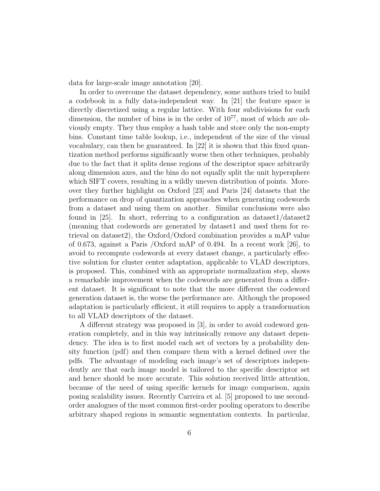data for large-scale image annotation [20].

In order to overcome the dataset dependency, some authors tried to build a codebook in a fully data-independent way. In [21] the feature space is directly discretized using a regular lattice. With four subdivisions for each dimension, the number of bins is in the order of  $10^{77}$ , most of which are obviously empty. They thus employ a hash table and store only the non-empty bins. Constant time table lookup, i.e., independent of the size of the visual vocabulary, can then be guaranteed. In [22] it is shown that this fixed quantization method performs significantly worse then other techniques, probably due to the fact that it splits dense regions of the descriptor space arbitrarily along dimension axes, and the bins do not equally split the unit hypersphere which SIFT covers, resulting in a wildly uneven distribution of points. Moreover they further highlight on Oxford [23] and Paris [24] datasets that the performance on drop of quantization approaches when generating codewords from a dataset and using them on another. Similar conclusions were also found in [25]. In short, referring to a configuration as dataset1/dataset2 (meaning that codewords are generated by dataset1 and used them for retrieval on dataset2), the Oxford/Oxford combination provides a mAP value of 0.673, against a Paris /Oxford mAP of 0.494. In a recent work [26], to avoid to recompute codewords at every dataset change, a particularly effective solution for cluster center adaptation, applicable to VLAD descriptors, is proposed. This, combined with an appropriate normalization step, shows a remarkable improvement when the codewords are generated from a different dataset. It is significant to note that the more different the codeword generation dataset is, the worse the performance are. Although the proposed adaptation is particularly efficient, it still requires to apply a transformation to all VLAD descriptors of the dataset.

A different strategy was proposed in [3], in order to avoid codeword generation completely, and in this way intrinsically remove any dataset dependency. The idea is to first model each set of vectors by a probability density function (pdf) and then compare them with a kernel defined over the pdfs. The advantage of modeling each image's set of descriptors independently are that each image model is tailored to the specific descriptor set and hence should be more accurate. This solution received little attention, because of the need of using specific kernels for image comparison, again posing scalability issues. Recently Carreira et al. [5] proposed to use secondorder analogues of the most common first-order pooling operators to describe arbitrary shaped regions in semantic segmentation contexts. In particular,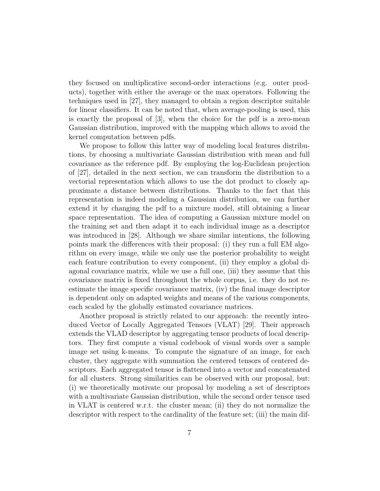they focused on multiplicative second-order interactions (e.g. outer products), together with either the average or the max operators. Following the techniques used in [27], they managed to obtain a region descriptor suitable for linear classifiers. It can be noted that, when average-pooling is used, this is exactly the proposal of [3], when the choice for the pdf is a zero-mean Gaussian distribution, improved with the mapping which allows to avoid the kernel computation between pdfs.

We propose to follow this latter way of modeling local features distributions, by choosing a multivariate Gaussian distribution with mean and full covariance as the reference pdf. By employing the log-Euclidean projection of [27], detailed in the next section, we can transform the distribution to a vectorial representation which allows to use the dot product to closely approximate a distance between distributions. Thanks to the fact that this representation is indeed modeling a Gaussian distribution, we can further extend it by changing the pdf to a mixture model, still obtaining a linear space representation. The idea of computing a Gaussian mixture model on the training set and then adapt it to each individual image as a descriptor was introduced in [28]. Although we share similar intentions, the following points mark the differences with their proposal: (i) they run a full EM algorithm on every image, while we only use the posterior probability to weight each feature contribution to every component, (ii) they employ a global diagonal covariance matrix, while we use a full one, (iii) they assume that this covariance matrix is fixed throughout the whole corpus, i.e. they do not reestimate the image specific covariance matrix, (iv) the final image descriptor is dependent only on adapted weights and means of the various components, each scaled by the globally estimated covariance matrices.

Another proposal is strictly related to our approach: the recently introduced Vector of Locally Aggregated Tensors (VLAT) [29]. Their approach extends the VLAD descriptor by aggregating tensor products of local descriptors. They first compute a visual codebook of visual words over a sample image set using k-means. To compute the signature of an image, for each cluster, they aggregate with summation the centered tensors of centered descriptors. Each aggregated tensor is flattened into a vector and concatenated for all clusters. Strong similarities can be observed with our proposal, but: (i) we theoretically motivate our proposal by modeling a set of descriptors with a multivariate Gaussian distribution, while the second order tensor used in VLAT is centered w.r.t. the cluster mean; (ii) they do not normalize the descriptor with respect to the cardinality of the feature set; (iii) the main dif-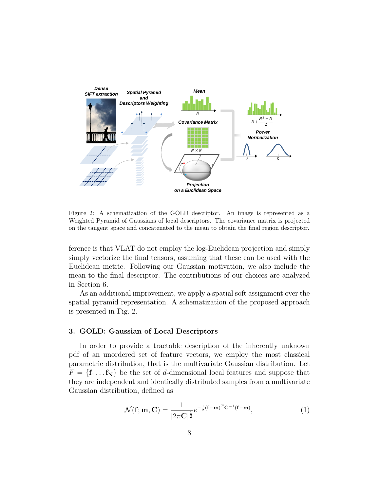

Figure 2: A schematization of the GOLD descriptor. An image is represented as a Weighted Pyramid of Gaussians of local descriptors. The covariance matrix is projected on the tangent space and concatenated to the mean to obtain the final region descriptor.

ference is that VLAT do not employ the log-Euclidean projection and simply simply vectorize the final tensors, assuming that these can be used with the Euclidean metric. Following our Gaussian motivation, we also include the mean to the final descriptor. The contributions of our choices are analyzed in Section 6.

As an additional improvement, we apply a spatial soft assignment over the spatial pyramid representation. A schematization of the proposed approach is presented in Fig. 2.

## 3. GOLD: Gaussian of Local Descriptors

In order to provide a tractable description of the inherently unknown pdf of an unordered set of feature vectors, we employ the most classical parametric distribution, that is the multivariate Gaussian distribution. Let  $F = \{f_1 \dots f_N\}$  be the set of d-dimensional local features and suppose that they are independent and identically distributed samples from a multivariate Gaussian distribution, defined as

$$
\mathcal{N}(\mathbf{f}; \mathbf{m}, \mathbf{C}) = \frac{1}{|2\pi \mathbf{C}|^{\frac{1}{2}}} e^{-\frac{1}{2}(\mathbf{f} - \mathbf{m})^T \mathbf{C}^{-1}(\mathbf{f} - \mathbf{m})},
$$
\n(1)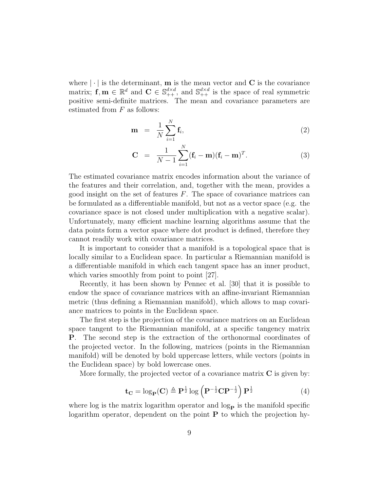where  $|\cdot|$  is the determinant, **m** is the mean vector and **C** is the covariance matrix;  $f, m \in \mathbb{R}^d$  and  $C \in \mathbb{S}_{++}^{d \times d}$ , and  $\mathbb{S}_{++}^{d \times d}$  is the space of real symmetric positive semi-definite matrices. The mean and covariance parameters are estimated from  $F$  as follows:

$$
\mathbf{m} = \frac{1}{N} \sum_{i=1}^{N} \mathbf{f}_i, \tag{2}
$$

$$
C = \frac{1}{N-1} \sum_{i=1}^{N} (\mathbf{f}_i - \mathbf{m})(\mathbf{f}_i - \mathbf{m})^T.
$$
 (3)

The estimated covariance matrix encodes information about the variance of the features and their correlation, and, together with the mean, provides a good insight on the set of features  $F$ . The space of covariance matrices can be formulated as a differentiable manifold, but not as a vector space (e.g. the covariance space is not closed under multiplication with a negative scalar). Unfortunately, many efficient machine learning algorithms assume that the data points form a vector space where dot product is defined, therefore they cannot readily work with covariance matrices.

It is important to consider that a manifold is a topological space that is locally similar to a Euclidean space. In particular a Riemannian manifold is a differentiable manifold in which each tangent space has an inner product, which varies smoothly from point to point [27].

Recently, it has been shown by Pennec et al. [30] that it is possible to endow the space of covariance matrices with an affine-invariant Riemannian metric (thus defining a Riemannian manifold), which allows to map covariance matrices to points in the Euclidean space.

The first step is the projection of the covariance matrices on an Euclidean space tangent to the Riemannian manifold, at a specific tangency matrix P. The second step is the extraction of the orthonormal coordinates of the projected vector. In the following, matrices (points in the Riemannian manifold) will be denoted by bold uppercase letters, while vectors (points in the Euclidean space) by bold lowercase ones.

More formally, the projected vector of a covariance matrix  $C$  is given by:

$$
\mathbf{t}_{\mathbf{C}} = \log_{\mathbf{P}}(\mathbf{C}) \triangleq \mathbf{P}^{\frac{1}{2}} \log \left( \mathbf{P}^{-\frac{1}{2}} \mathbf{C} \mathbf{P}^{-\frac{1}{2}} \right) \mathbf{P}^{\frac{1}{2}}
$$
(4)

where log is the matrix logarithm operator and  $\log_{\mathbf{P}}$  is the manifold specific logarithm operator, dependent on the point  $P$  to which the projection hy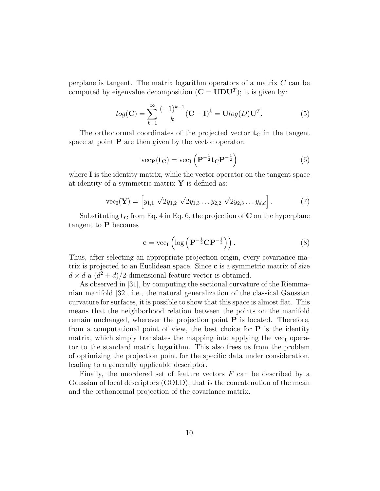perplane is tangent. The matrix logarithm operators of a matrix C can be computed by eigenvalue decomposition  $(C = UDU<sup>T</sup>)$ ; it is given by:

$$
log(\mathbf{C}) = \sum_{k=1}^{\infty} \frac{(-1)^{k-1}}{k} (\mathbf{C} - \mathbf{I})^k = \mathbf{U} log(D) \mathbf{U}^T.
$$
 (5)

The orthonormal coordinates of the projected vector  $t_c$  in the tangent space at point  $P$  are then given by the vector operator:

$$
\text{vec}_{\mathbf{P}}(\mathbf{t}_{\mathbf{C}}) = \text{vec}_{\mathbf{I}}\left(\mathbf{P}^{-\frac{1}{2}}\mathbf{t}_{\mathbf{C}}\mathbf{P}^{-\frac{1}{2}}\right) \tag{6}
$$

where  $\bf{I}$  is the identity matrix, while the vector operator on the tangent space at identity of a symmetric matrix  $\mathbf{Y}$  is defined as:

$$
\text{vec}_{\mathbf{I}}(\mathbf{Y}) = \left[ y_{1,1} \sqrt{2} y_{1,2} \sqrt{2} y_{1,3} \dots y_{2,2} \sqrt{2} y_{2,3} \dots y_{d,d} \right]. \tag{7}
$$

Substituting  $t_C$  from Eq. 4 in Eq. 6, the projection of  $C$  on the hyperplane tangent to P becomes

$$
\mathbf{c} = \text{vec}_{\mathbf{I}} \left( \log \left( \mathbf{P}^{-\frac{1}{2}} \mathbf{C} \mathbf{P}^{-\frac{1}{2}} \right) \right). \tag{8}
$$

Thus, after selecting an appropriate projection origin, every covariance matrix is projected to an Euclidean space. Since c is a symmetric matrix of size  $d \times d$  a  $(d^2 + d)/2$ -dimensional feature vector is obtained.

As observed in [31], by computing the sectional curvature of the Riemmanian manifold [32], i.e., the natural generalization of the classical Gaussian curvature for surfaces, it is possible to show that this space is almost flat. This means that the neighborhood relation between the points on the manifold remain unchanged, wherever the projection point  $P$  is located. Therefore, from a computational point of view, the best choice for  $P$  is the identity matrix, which simply translates the mapping into applying the vect operator to the standard matrix logarithm. This also frees us from the problem of optimizing the projection point for the specific data under consideration, leading to a generally applicable descriptor.

Finally, the unordered set of feature vectors  $F$  can be described by a Gaussian of local descriptors (GOLD), that is the concatenation of the mean and the orthonormal projection of the covariance matrix.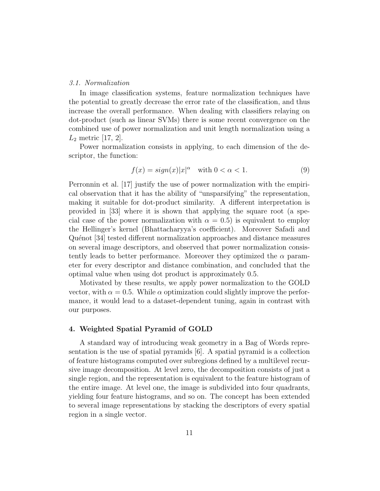#### 3.1. Normalization

In image classification systems, feature normalization techniques have the potential to greatly decrease the error rate of the classification, and thus increase the overall performance. When dealing with classifiers relaying on dot-product (such as linear SVMs) there is some recent convergence on the combined use of power normalization and unit length normalization using a  $L_2$  metric [17, 2].

Power normalization consists in applying, to each dimension of the descriptor, the function:

$$
f(x) = sign(x)|x|^{\alpha} \quad \text{with } 0 < \alpha < 1. \tag{9}
$$

Perronnin et al. [17] justify the use of power normalization with the empirical observation that it has the ability of "unsparsifying" the representation, making it suitable for dot-product similarity. A different interpretation is provided in [33] where it is shown that applying the square root (a special case of the power normalization with  $\alpha = 0.5$ ) is equivalent to employ the Hellinger's kernel (Bhattacharyya's coefficient). Moreover Safadi and Qu´enot [34] tested different normalization approaches and distance measures on several image descriptors, and observed that power normalization consistently leads to better performance. Moreover they optimized the  $\alpha$  parameter for every descriptor and distance combination, and concluded that the optimal value when using dot product is approximately 0.5.

Motivated by these results, we apply power normalization to the GOLD vector, with  $\alpha = 0.5$ . While  $\alpha$  optimization could slightly improve the performance, it would lead to a dataset-dependent tuning, again in contrast with our purposes.

## 4. Weighted Spatial Pyramid of GOLD

A standard way of introducing weak geometry in a Bag of Words representation is the use of spatial pyramids [6]. A spatial pyramid is a collection of feature histograms computed over subregions defined by a multilevel recursive image decomposition. At level zero, the decomposition consists of just a single region, and the representation is equivalent to the feature histogram of the entire image. At level one, the image is subdivided into four quadrants, yielding four feature histograms, and so on. The concept has been extended to several image representations by stacking the descriptors of every spatial region in a single vector.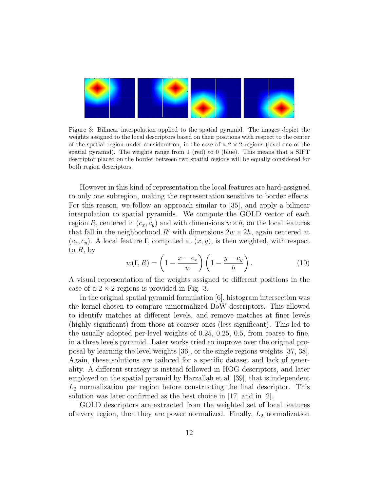

Figure 3: Bilinear interpolation applied to the spatial pyramid. The images depict the weights assigned to the local descriptors based on their positions with respect to the center of the spatial region under consideration, in the case of a  $2 \times 2$  regions (level one of the spatial pyramid). The weights range from 1 (red) to 0 (blue). This means that a SIFT descriptor placed on the border between two spatial regions will be equally considered for both region descriptors.

However in this kind of representation the local features are hard-assigned to only one subregion, making the representation sensitive to border effects. For this reason, we follow an approach similar to [35], and apply a bilinear interpolation to spatial pyramids. We compute the GOLD vector of each region R, centered in  $(c_x, c_y)$  and with dimensions  $w \times h$ , on the local features that fall in the neighborhood R' with dimensions  $2w \times 2h$ , again centered at  $(c_x, c_y)$ . A local feature **f**, computed at  $(x, y)$ , is then weighted, with respect to  $R$ , by

$$
w(\mathbf{f}, R) = \left(1 - \frac{x - c_x}{w}\right) \left(1 - \frac{y - c_y}{h}\right). \tag{10}
$$

A visual representation of the weights assigned to different positions in the case of a  $2 \times 2$  regions is provided in Fig. 3.

In the original spatial pyramid formulation [6], histogram intersection was the kernel chosen to compare unnormalized BoW descriptors. This allowed to identify matches at different levels, and remove matches at finer levels (highly significant) from those at coarser ones (less significant). This led to the usually adopted per-level weights of 0.25, 0.25, 0.5, from coarse to fine, in a three levels pyramid. Later works tried to improve over the original proposal by learning the level weights [36], or the single regions weights [37, 38]. Again, these solutions are tailored for a specific dataset and lack of generality. A different strategy is instead followed in HOG descriptors, and later employed on the spatial pyramid by Harzallah et al. [39], that is independent  $L_2$  normalization per region before constructing the final descriptor. This solution was later confirmed as the best choice in [17] and in [2].

GOLD descriptors are extracted from the weighted set of local features of every region, then they are power normalized. Finally,  $L_2$  normalization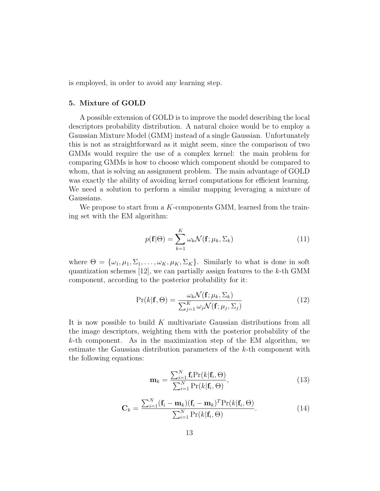is employed, in order to avoid any learning step.

#### 5. Mixture of GOLD

A possible extension of GOLD is to improve the model describing the local descriptors probability distribution. A natural choice would be to employ a Gaussian Mixture Model (GMM) instead of a single Gaussian. Unfortunately this is not as straightforward as it might seem, since the comparison of two GMMs would require the use of a complex kernel: the main problem for comparing GMMs is how to choose which component should be compared to whom, that is solving an assignment problem. The main advantage of GOLD was exactly the ability of avoiding kernel computations for efficient learning. We need a solution to perform a similar mapping leveraging a mixture of Gaussians.

We propose to start from a K-components GMM, learned from the training set with the EM algorithm:

$$
p(\mathbf{f}|\Theta) = \sum_{k=1}^{K} \omega_k \mathcal{N}(\mathbf{f}; \mu_k, \Sigma_k)
$$
 (11)

where  $\Theta = {\omega_1, \mu_1, \Sigma_1, \ldots, \omega_K, \mu_K, \Sigma_K}$ . Similarly to what is done in soft quantization schemes  $[12]$ , we can partially assign features to the k-th GMM component, according to the posterior probability for it:

$$
Pr(k|\mathbf{f}, \Theta) = \frac{\omega_k \mathcal{N}(\mathbf{f}; \mu_k, \Sigma_k)}{\sum_{j=1}^K \omega_j \mathcal{N}(\mathbf{f}; \mu_j, \Sigma_j)}
$$
(12)

It is now possible to build K multivariate Gaussian distributions from all the image descriptors, weighting them with the posterior probability of the  $k$ -th component. As in the maximization step of the EM algorithm, we estimate the Gaussian distribution parameters of the  $k$ -th component with the following equations:

$$
\mathbf{m}_{k} = \frac{\sum_{i=1}^{N} \mathbf{f}_{i} \mathrm{Pr}(k|\mathbf{f}_{i}, \Theta)}{\sum_{i=1}^{N} \mathrm{Pr}(k|\mathbf{f}_{i}, \Theta)},
$$
\n(13)

$$
\mathbf{C}_{k} = \frac{\sum_{i=1}^{N} (\mathbf{f}_{i} - \mathbf{m}_{k})(\mathbf{f}_{i} - \mathbf{m}_{k})^{T} \mathbf{Pr}(k|\mathbf{f}_{i}, \Theta)}{\sum_{i=1}^{N} \mathbf{Pr}(k|\mathbf{f}_{i}, \Theta)}.
$$
(14)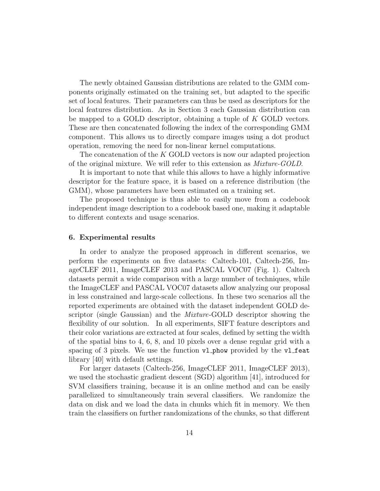The newly obtained Gaussian distributions are related to the GMM components originally estimated on the training set, but adapted to the specific set of local features. Their parameters can thus be used as descriptors for the local features distribution. As in Section 3 each Gaussian distribution can be mapped to a GOLD descriptor, obtaining a tuple of K GOLD vectors. These are then concatenated following the index of the corresponding GMM component. This allows us to directly compare images using a dot product operation, removing the need for non-linear kernel computations.

The concatenation of the K GOLD vectors is now our adapted projection of the original mixture. We will refer to this extension as Mixture-GOLD.

It is important to note that while this allows to have a highly informative descriptor for the feature space, it is based on a reference distribution (the GMM), whose parameters have been estimated on a training set.

The proposed technique is thus able to easily move from a codebook independent image description to a codebook based one, making it adaptable to different contexts and usage scenarios.

#### 6. Experimental results

In order to analyze the proposed approach in different scenarios, we perform the experiments on five datasets: Caltech-101, Caltech-256, ImageCLEF 2011, ImageCLEF 2013 and PASCAL VOC07 (Fig. 1). Caltech datasets permit a wide comparison with a large number of techniques, while the ImageCLEF and PASCAL VOC07 datasets allow analyzing our proposal in less constrained and large-scale collections. In these two scenarios all the reported experiments are obtained with the dataset independent GOLD descriptor (single Gaussian) and the *Mixture-GOLD* descriptor showing the flexibility of our solution. In all experiments, SIFT feature descriptors and their color variations are extracted at four scales, defined by setting the width of the spatial bins to 4, 6, 8, and 10 pixels over a dense regular grid with a spacing of 3 pixels. We use the function vl\_phow provided by the vl\_feat library [40] with default settings.

For larger datasets (Caltech-256, ImageCLEF 2011, ImageCLEF 2013), we used the stochastic gradient descent (SGD) algorithm [41], introduced for SVM classifiers training, because it is an online method and can be easily parallelized to simultaneously train several classifiers. We randomize the data on disk and we load the data in chunks which fit in memory. We then train the classifiers on further randomizations of the chunks, so that different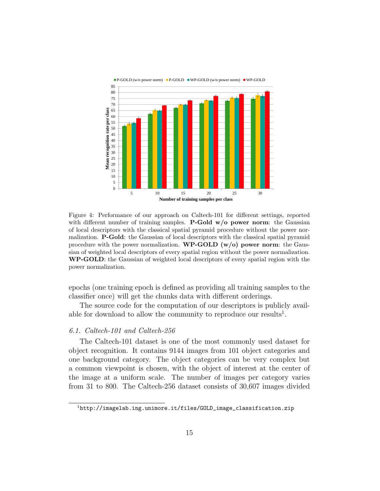

Figure 4: Performance of our approach on Caltech-101 for different settings, reported with different number of training samples. **P-Gold**  $w/o$  **power norm**: the Gaussian of local descriptors with the classical spatial pyramid procedure without the power normalization. P-Gold: the Gaussian of local descriptors with the classical spatial pyramid procedure with the power normalization.  $WP-GOLD(w/o)$  power norm: the Gaussian of weighted local descriptors of every spatial region without the power normalization. WP-GOLD: the Gaussian of weighted local descriptors of every spatial region with the power normalization.

epochs (one training epoch is defined as providing all training samples to the classifier once) will get the chunks data with different orderings.

The source code for the computation of our descriptors is publicly available for download to allow the community to reproduce our results<sup>1</sup>.

## 6.1. Caltech-101 and Caltech-256

The Caltech-101 dataset is one of the most commonly used dataset for object recognition. It contains 9144 images from 101 object categories and one background category. The object categories can be very complex but a common viewpoint is chosen, with the object of interest at the center of the image at a uniform scale. The number of images per category varies from 31 to 800. The Caltech-256 dataset consists of 30,607 images divided

 $1$ http://imagelab.ing.unimore.it/files/GOLD\_image\_classification.zip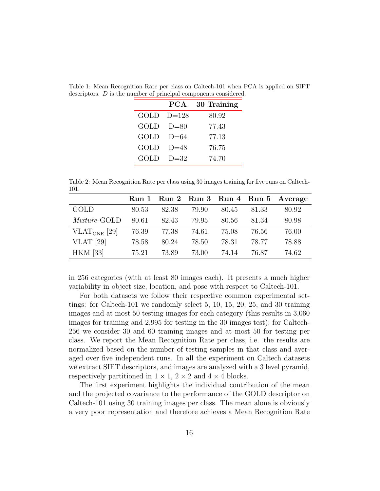|             | PCA            | 30 Training |
|-------------|----------------|-------------|
|             | $GOLD$ $D=128$ | 80.92       |
| GOLD        | $D=80$         | 77.43       |
| GOLD        | $D=64$         | 77.13       |
| <b>GOLD</b> | $D=48$         | 76.75       |
| <b>GOLD</b> | $D=32$         | 74.70       |

Table 1: Mean Recognition Rate per class on Caltech-101 when PCA is applied on SIFT descriptors. D is the number of principal components considered.

Table 2: Mean Recognition Rate per class using 30 images training for five runs on Caltech-101.

|                     |       |       |       |       |       | Run 1 Run 2 Run 3 Run 4 Run 5 Average |
|---------------------|-------|-------|-------|-------|-------|---------------------------------------|
| <b>GOLD</b>         | 80.53 | 82.38 | 79.90 | 80.45 | 81.33 | 80.92                                 |
| <i>Mixture-GOLD</i> | 80.61 | 82.43 | 79.95 | 80.56 | 81.34 | 80.98                                 |
| $VLAT_{ONE}$ [29]   | 76.39 | 77.38 | 74.61 | 75.08 | 76.56 | 76.00                                 |
| <b>VLAT</b> [29]    | 78.58 | 80.24 | 78.50 | 78.31 | 78.77 | 78.88                                 |
| <b>HKM</b> [33]     | 75.21 | 73.89 | 73.00 | 74.14 | 76.87 | 74.62                                 |

in 256 categories (with at least 80 images each). It presents a much higher variability in object size, location, and pose with respect to Caltech-101.

For both datasets we follow their respective common experimental settings: for Caltech-101 we randomly select 5, 10, 15, 20, 25, and 30 training images and at most 50 testing images for each category (this results in 3,060 images for training and 2,995 for testing in the 30 images test); for Caltech-256 we consider 30 and 60 training images and at most 50 for testing per class. We report the Mean Recognition Rate per class, i.e. the results are normalized based on the number of testing samples in that class and averaged over five independent runs. In all the experiment on Caltech datasets we extract SIFT descriptors, and images are analyzed with a 3 level pyramid, respectively partitioned in  $1 \times 1$ ,  $2 \times 2$  and  $4 \times 4$  blocks.

The first experiment highlights the individual contribution of the mean and the projected covariance to the performance of the GOLD descriptor on Caltech-101 using 30 training images per class. The mean alone is obviously a very poor representation and therefore achieves a Mean Recognition Rate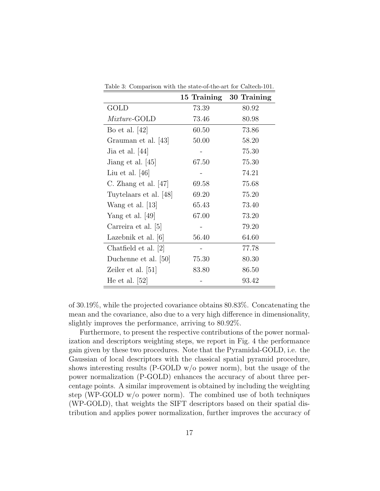|                        | 15 Training | 30 Training |
|------------------------|-------------|-------------|
| GOLD                   | 73.39       | 80.92       |
| Mixture-GOLD           | 73.46       | 80.98       |
| Bo et al. $[42]$       | 60.50       | 73.86       |
| Grauman et al. [43]    | 50.00       | 58.20       |
| Jia et al. $[44]$      |             | 75.30       |
| Jiang et al. $[45]$    | 67.50       | 75.30       |
| Liu et al. $[46]$      |             | 74.21       |
| C. Zhang et al. $[47]$ | 69.58       | 75.68       |
| Tuytelaars et al. [48] | 69.20       | 75.20       |
| Wang et al. $ 13 $     | 65.43       | 73.40       |
| Yang et al. $[49]$     | 67.00       | 73.20       |
| Carreira et al. [5]    |             | 79.20       |
| Lazebnik et al. [6]    | 56.40       | 64.60       |
| Chatfield et al. [2]   |             | 77.78       |
| Duchenne et al. [50]   | 75.30       | 80.30       |
| Zeiler et al. $[51]$   | 83.80       | 86.50       |
| He et al. $[52]$       |             | 93.42       |

Table 3: Comparison with the state-of-the-art for Caltech-101.

of 30.19%, while the projected covariance obtains 80.83%. Concatenating the mean and the covariance, also due to a very high difference in dimensionality, slightly improves the performance, arriving to 80.92%.

Furthermore, to present the respective contributions of the power normalization and descriptors weighting steps, we report in Fig. 4 the performance gain given by these two procedures. Note that the Pyramidal-GOLD, i.e. the Gaussian of local descriptors with the classical spatial pyramid procedure, shows interesting results (P-GOLD w/o power norm), but the usage of the power normalization (P-GOLD) enhances the accuracy of about three percentage points. A similar improvement is obtained by including the weighting step (WP-GOLD w/o power norm). The combined use of both techniques (WP-GOLD), that weights the SIFT descriptors based on their spatial distribution and applies power normalization, further improves the accuracy of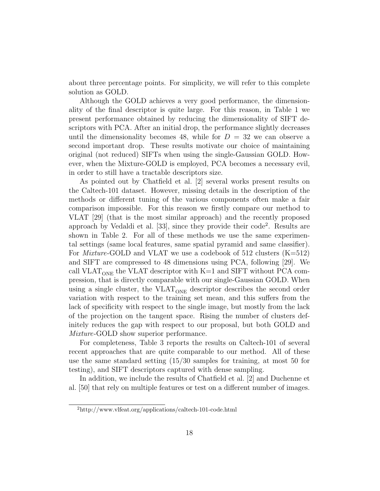about three percentage points. For simplicity, we will refer to this complete solution as GOLD.

Although the GOLD achieves a very good performance, the dimensionality of the final descriptor is quite large. For this reason, in Table 1 we present performance obtained by reducing the dimensionality of SIFT descriptors with PCA. After an initial drop, the performance slightly decreases until the dimensionality becomes 48, while for  $D = 32$  we can observe a second important drop. These results motivate our choice of maintaining original (not reduced) SIFTs when using the single-Gaussian GOLD. However, when the Mixture-GOLD is employed, PCA becomes a necessary evil, in order to still have a tractable descriptors size.

As pointed out by Chatfield et al. [2] several works present results on the Caltech-101 dataset. However, missing details in the description of the methods or different tuning of the various components often make a fair comparison impossible. For this reason we firstly compare our method to VLAT [29] (that is the most similar approach) and the recently proposed approach by Vedaldi et al.  $[33]$ , since they provide their code<sup>2</sup>. Results are shown in Table 2. For all of these methods we use the same experimental settings (same local features, same spatial pyramid and same classifier). For *Mixture*-GOLD and VLAT we use a codebook of 512 clusters (K=512) and SIFT are compressed to 48 dimensions using PCA, following [29]. We call VLAT<sub>ONE</sub> the VLAT descriptor with K=1 and SIFT without PCA compression, that is directly comparable with our single-Gaussian GOLD. When using a single cluster, the  $VLAT<sub>ONE</sub>$  descriptor describes the second order variation with respect to the training set mean, and this suffers from the lack of specificity with respect to the single image, but mostly from the lack of the projection on the tangent space. Rising the number of clusters definitely reduces the gap with respect to our proposal, but both GOLD and Mixture-GOLD show superior performance.

For completeness, Table 3 reports the results on Caltech-101 of several recent approaches that are quite comparable to our method. All of these use the same standard setting (15/30 samples for training, at most 50 for testing), and SIFT descriptors captured with dense sampling.

In addition, we include the results of Chatfield et al. [2] and Duchenne et al. [50] that rely on multiple features or test on a different number of images.

<sup>2</sup>http://www.vlfeat.org/applications/caltech-101-code.html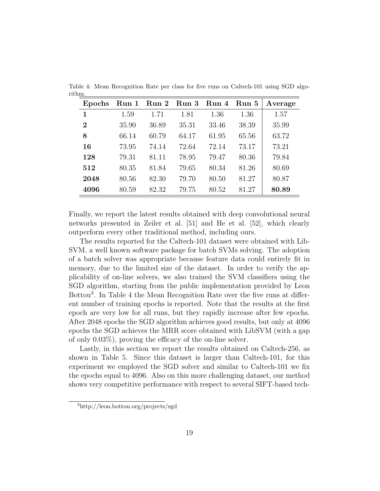| Epochs   | Run 1 |       | Run 2 Run 3 Run 4 |       | Run 5 | Average |
|----------|-------|-------|-------------------|-------|-------|---------|
| 1        | 1.59  | 1.71  | 1.81              | 1.36  | 1.36  | 1.57    |
| $\bf{2}$ | 35.90 | 36.89 | 35.31             | 33.46 | 38.39 | 35.99   |
| 8        | 66.14 | 60.79 | 64.17             | 61.95 | 65.56 | 63.72   |
| 16       | 73.95 | 74.14 | 72.64             | 72.14 | 73.17 | 73.21   |
| 128      | 79.31 | 81.11 | 78.95             | 79.47 | 80.36 | 79.84   |
| 512      | 80.35 | 81.84 | 79.65             | 80.34 | 81.26 | 80.69   |
| 2048     | 80.56 | 82.30 | 79.70             | 80.50 | 81.27 | 80.87   |
| 4096     | 80.59 | 82.32 | 79.75             | 80.52 | 81.27 | 80.89   |

Table 4: Mean Recognition Rate per class for five runs on Caltech-101 using SGD algorithm.

Finally, we report the latest results obtained with deep convolutional neural networks presented in Zeiler et al. [51] and He et al. [52], which clearly outperform every other traditional method, including ours.

The results reported for the Caltech-101 dataset were obtained with Lib-SVM, a well known software package for batch SVMs solving. The adoption of a batch solver was appropriate because feature data could entirely fit in memory, due to the limited size of the dataset. In order to verify the applicability of on-line solvers, we also trained the SVM classifiers using the SGD algorithm, starting from the public implementation provided by Leon Bottou<sup>3</sup>. In Table 4 the Mean Recognition Rate over the five runs at different number of training epochs is reported. Note that the results at the first epoch are very low for all runs, but they rapidly increase after few epochs. After 2048 epochs the SGD algorithm achieves good results, but only at 4096 epochs the SGD achieves the MRR score obtained with LibSVM (with a gap of only 0.03%), proving the efficacy of the on-line solver.

Lastly, in this section we report the results obtained on Caltech-256, as shown in Table 5. Since this dataset is larger than Caltech-101, for this experiment we employed the SGD solver and similar to Caltech-101 we fix the epochs equal to 4096. Also on this more challenging dataset, our method shows very competitive performance with respect to several SIFT-based tech-

<sup>3</sup>http://leon.bottou.org/projects/sgd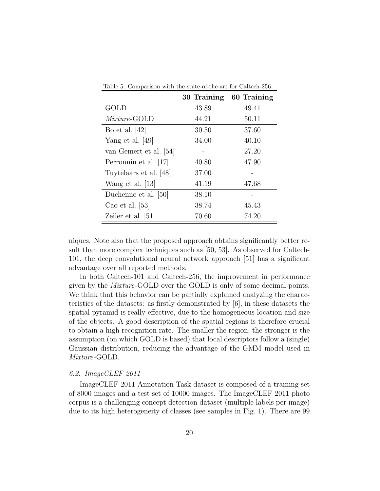|                        | 30 Training | 60 Training |
|------------------------|-------------|-------------|
| <b>GOLD</b>            | 43.89       | 49.41       |
| Mixture-GOLD           | 44.21       | 50.11       |
| Bo et al. $[42]$       | 30.50       | 37.60       |
| Yang et al. $[49]$     | 34.00       | 40.10       |
| van Gemert et al. [54] |             | 27.20       |
| Perronnin et al. [17]  | 40.80       | 47.90       |
| Tuytelaars et al. [48] | 37.00       |             |
| Wang et al. $[13]$     | 41.19       | 47.68       |
| Duchenne et al. [50]   | 38.10       |             |
| Cao et al. $[53]$      | 38.74       | 45.43       |
| Zeiler et al. $[51]$   | 70.60       | 74.20       |

Table 5: Comparison with the-state-of-the-art for Caltech-256.

niques. Note also that the proposed approach obtains significantly better result than more complex techniques such as [50, 53]. As observed for Caltech-101, the deep convolutional neural network approach [51] has a significant advantage over all reported methods.

In both Caltech-101 and Caltech-256, the improvement in performance given by the Mixture-GOLD over the GOLD is only of some decimal points. We think that this behavior can be partially explained analyzing the characteristics of the datasets: as firstly demonstrated by [6], in these datasets the spatial pyramid is really effective, due to the homogeneous location and size of the objects. A good description of the spatial regions is therefore crucial to obtain a high recognition rate. The smaller the region, the stronger is the assumption (on which GOLD is based) that local descriptors follow a (single) Gaussian distribution, reducing the advantage of the GMM model used in Mixture-GOLD.

#### 6.2. ImageCLEF 2011

ImageCLEF 2011 Annotation Task dataset is composed of a training set of 8000 images and a test set of 10000 images. The ImageCLEF 2011 photo corpus is a challenging concept detection dataset (multiple labels per image) due to its high heterogeneity of classes (see samples in Fig. 1). There are 99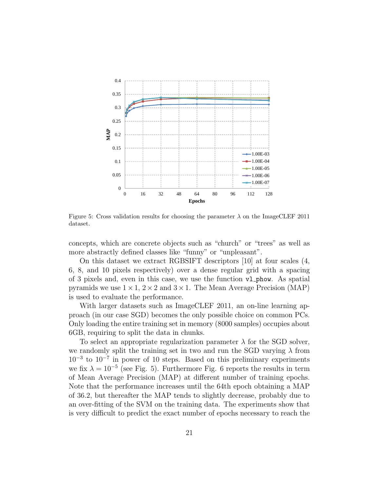

Figure 5: Cross validation results for choosing the parameter  $\lambda$  on the ImageCLEF 2011 dataset.

concepts, which are concrete objects such as "church" or "trees" as well as more abstractly defined classes like "funny" or "unpleasant".

On this dataset we extract RGBSIFT descriptors [10] at four scales (4, 6, 8, and 10 pixels respectively) over a dense regular grid with a spacing of 3 pixels and, even in this case, we use the function vl phow. As spatial pyramids we use  $1 \times 1$ ,  $2 \times 2$  and  $3 \times 1$ . The Mean Average Precision (MAP) is used to evaluate the performance.

With larger datasets such as ImageCLEF 2011, an on-line learning approach (in our case SGD) becomes the only possible choice on common PCs. Only loading the entire training set in memory (8000 samples) occupies about 6GB, requiring to split the data in chunks.

To select an appropriate regularization parameter  $\lambda$  for the SGD solver, we randomly split the training set in two and run the SGD varying  $\lambda$  from 10<sup>−</sup><sup>3</sup> to 10<sup>−</sup><sup>7</sup> in power of 10 steps. Based on this preliminary experiments we fix  $\lambda = 10^{-5}$  (see Fig. 5). Furthermore Fig. 6 reports the results in term of Mean Average Precision (MAP) at different number of training epochs. Note that the performance increases until the 64th epoch obtaining a MAP of 36.2, but thereafter the MAP tends to slightly decrease, probably due to an over-fitting of the SVM on the training data. The experiments show that is very difficult to predict the exact number of epochs necessary to reach the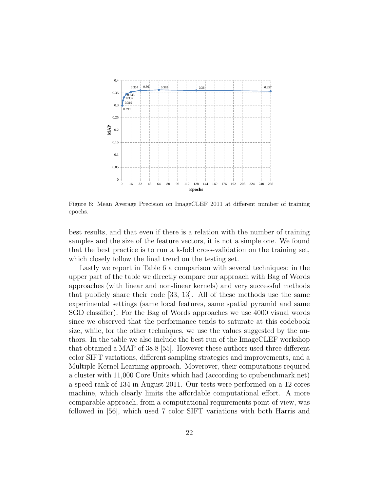

Figure 6: Mean Average Precision on ImageCLEF 2011 at different number of training epochs.

best results, and that even if there is a relation with the number of training samples and the size of the feature vectors, it is not a simple one. We found that the best practice is to run a k-fold cross-validation on the training set, which closely follow the final trend on the testing set.

Lastly we report in Table 6 a comparison with several techniques: in the upper part of the table we directly compare our approach with Bag of Words approaches (with linear and non-linear kernels) and very successful methods that publicly share their code [33, 13]. All of these methods use the same experimental settings (same local features, same spatial pyramid and same SGD classifier). For the Bag of Words approaches we use 4000 visual words since we observed that the performance tends to saturate at this codebook size, while, for the other techniques, we use the values suggested by the authors. In the table we also include the best run of the ImageCLEF workshop that obtained a MAP of 38.8 [55]. However these authors used three different color SIFT variations, different sampling strategies and improvements, and a Multiple Kernel Learning approach. Moverover, their computations required a cluster with 11,000 Core Units which had (according to cpubenchmark.net) a speed rank of 134 in August 2011. Our tests were performed on a 12 cores machine, which clearly limits the affordable computational effort. A more comparable approach, from a computational requirements point of view, was followed in [56], which used 7 color SIFT variations with both Harris and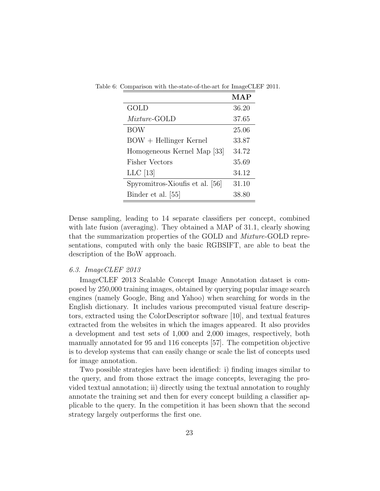|                                 | MAP   |
|---------------------------------|-------|
| GOLD                            | 36.20 |
| $Mixture$ -GOLD                 | 37.65 |
| <b>BOW</b>                      | 25.06 |
| $BOW + Hellinger$ Kernel        | 33.87 |
| Homogeneous Kernel Map [33]     | 34.72 |
| <b>Fisher Vectors</b>           | 35.69 |
| $LLC$ [13]                      | 34.12 |
| Spyromitros-Xioufis et al. [56] | 31.10 |
| Binder et al. [55]              | 38.80 |

Table 6: Comparison with the-state-of-the-art for ImageCLEF 2011.

Dense sampling, leading to 14 separate classifiers per concept, combined with late fusion (averaging). They obtained a MAP of 31.1, clearly showing that the summarization properties of the GOLD and Mixture-GOLD representations, computed with only the basic RGBSIFT, are able to beat the description of the BoW approach.

## 6.3. ImageCLEF 2013

ImageCLEF 2013 Scalable Concept Image Annotation dataset is composed by 250,000 training images, obtained by querying popular image search engines (namely Google, Bing and Yahoo) when searching for words in the English dictionary. It includes various precomputed visual feature descriptors, extracted using the ColorDescriptor software [10], and textual features extracted from the websites in which the images appeared. It also provides a development and test sets of 1,000 and 2,000 images, respectively, both manually annotated for 95 and 116 concepts [57]. The competition objective is to develop systems that can easily change or scale the list of concepts used for image annotation.

Two possible strategies have been identified: i) finding images similar to the query, and from those extract the image concepts, leveraging the provided textual annotation; ii) directly using the textual annotation to roughly annotate the training set and then for every concept building a classifier applicable to the query. In the competition it has been shown that the second strategy largely outperforms the first one.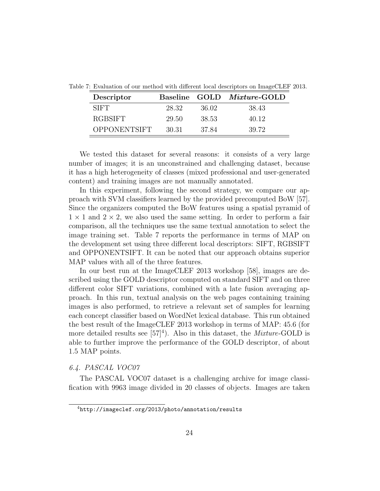| Descriptor          |        |        | Baseline GOLD <i>Mixture</i> -GOLD |
|---------------------|--------|--------|------------------------------------|
| <b>SIFT</b>         | 28.32  | 36.02  | 38.43                              |
| <b>RGBSIFT</b>      | 29.50  | -38.53 | 40.12                              |
| <b>OPPONENTSIFT</b> | -30.31 | 37.84  | 39.72                              |

Table 7: Evaluation of our method with different local descriptors on ImageCLEF 2013.

We tested this dataset for several reasons: it consists of a very large number of images; it is an unconstrained and challenging dataset, because it has a high heterogeneity of classes (mixed professional and user-generated content) and training images are not manually annotated.

In this experiment, following the second strategy, we compare our approach with SVM classifiers learned by the provided precomputed BoW [57]. Since the organizers computed the BoW features using a spatial pyramid of  $1 \times 1$  and  $2 \times 2$ , we also used the same setting. In order to perform a fair comparison, all the techniques use the same textual annotation to select the image training set. Table 7 reports the performance in terms of MAP on the development set using three different local descriptors: SIFT, RGBSIFT and OPPONENTSIFT. It can be noted that our approach obtains superior MAP values with all of the three features.

In our best run at the ImageCLEF 2013 workshop [58], images are described using the GOLD descriptor computed on standard SIFT and on three different color SIFT variations, combined with a late fusion averaging approach. In this run, textual analysis on the web pages containing training images is also performed, to retrieve a relevant set of samples for learning each concept classifier based on WordNet lexical database. This run obtained the best result of the ImageCLEF 2013 workshop in terms of MAP: 45.6 (for more detailed results see  $[57]^4$ ). Also in this dataset, the *Mixture*-GOLD is able to further improve the performance of the GOLD descriptor, of about 1.5 MAP points.

## 6.4. PASCAL VOC07

The PASCAL VOC07 dataset is a challenging archive for image classification with 9963 image divided in 20 classes of objects. Images are taken

<sup>4</sup>http://imageclef.org/2013/photo/annotation/results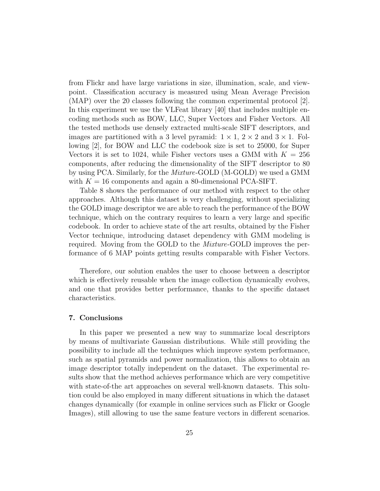from Flickr and have large variations in size, illumination, scale, and viewpoint. Classification accuracy is measured using Mean Average Precision  $(MAP)$  over the 20 classes following the common experimental protocol  $|2|$ . In this experiment we use the VLFeat library [40] that includes multiple encoding methods such as BOW, LLC, Super Vectors and Fisher Vectors. All the tested methods use densely extracted multi-scale SIFT descriptors, and images are partitioned with a 3 level pyramid:  $1 \times 1$ ,  $2 \times 2$  and  $3 \times 1$ . Following [2], for BOW and LLC the codebook size is set to 25000, for Super Vectors it is set to 1024, while Fisher vectors uses a GMM with  $K = 256$ components, after reducing the dimensionality of the SIFT descriptor to 80 by using PCA. Similarly, for the Mixture-GOLD (M-GOLD) we used a GMM with  $K = 16$  components and again a 80-dimensional PCA-SIFT.

Table 8 shows the performance of our method with respect to the other approaches. Although this dataset is very challenging, without specializing the GOLD image descriptor we are able to reach the performance of the BOW technique, which on the contrary requires to learn a very large and specific codebook. In order to achieve state of the art results, obtained by the Fisher Vector technique, introducing dataset dependency with GMM modeling is required. Moving from the GOLD to the *Mixture-GOLD* improves the performance of 6 MAP points getting results comparable with Fisher Vectors.

Therefore, our solution enables the user to choose between a descriptor which is effectively reusable when the image collection dynamically evolves, and one that provides better performance, thanks to the specific dataset characteristics.

## 7. Conclusions

In this paper we presented a new way to summarize local descriptors by means of multivariate Gaussian distributions. While still providing the possibility to include all the techniques which improve system performance, such as spatial pyramids and power normalization, this allows to obtain an image descriptor totally independent on the dataset. The experimental results show that the method achieves performance which are very competitive with state-of-the art approaches on several well-known datasets. This solution could be also employed in many different situations in which the dataset changes dynamically (for example in online services such as Flickr or Google Images), still allowing to use the same feature vectors in different scenarios.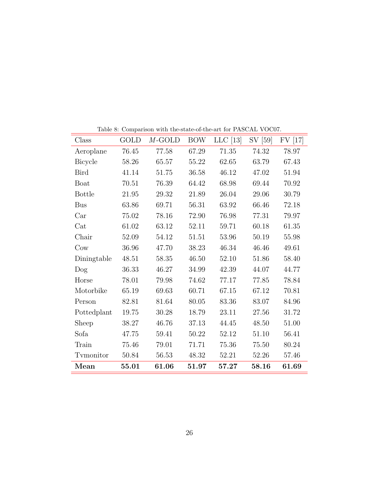| Lable 6. Comparison with the state-of-the-art for FASOAL VOCOT. |             |           |            |            |         |           |
|-----------------------------------------------------------------|-------------|-----------|------------|------------|---------|-----------|
| Class                                                           | <b>GOLD</b> | $M$ -GOLD | <b>BOW</b> | LLC $[13]$ | SV [59] | $FV$ [17] |
| Aeroplane                                                       | 76.45       | 77.58     | 67.29      | 71.35      | 74.32   | 78.97     |
| <b>Bicycle</b>                                                  | 58.26       | 65.57     | 55.22      | 62.65      | 63.79   | 67.43     |
| <b>Bird</b>                                                     | 41.14       | 51.75     | 36.58      | 46.12      | 47.02   | 51.94     |
| <b>Boat</b>                                                     | 70.51       | 76.39     | 64.42      | 68.98      | 69.44   | 70.92     |
| <b>Bottle</b>                                                   | 21.95       | 29.32     | 21.89      | 26.04      | 29.06   | 30.79     |
| <b>Bus</b>                                                      | 63.86       | 69.71     | 56.31      | 63.92      | 66.46   | 72.18     |
| Car                                                             | $75.02\,$   | $78.16\,$ | 72.90      | 76.98      | 77.31   | 79.97     |
| Cat                                                             | 61.02       | 63.12     | 52.11      | 59.71      | 60.18   | 61.35     |
| Chair                                                           | 52.09       | 54.12     | 51.51      | 53.96      | 50.19   | 55.98     |
| Cow                                                             | 36.96       | 47.70     | 38.23      | 46.34      | 46.46   | 49.61     |
| Diningtable                                                     | 48.51       | 58.35     | 46.50      | 52.10      | 51.86   | 58.40     |
| $\log$                                                          | 36.33       | 46.27     | 34.99      | 42.39      | 44.07   | 44.77     |
| Horse                                                           | 78.01       | 79.98     | 74.62      | 77.17      | 77.85   | 78.84     |
| Motorbike                                                       | 65.19       | 69.63     | 60.71      | 67.15      | 67.12   | 70.81     |
| Person                                                          | 82.81       | 81.64     | 80.05      | 83.36      | 83.07   | 84.96     |
| $\rm Pottedplant$                                               | 19.75       | 30.28     | 18.79      | 23.11      | 27.56   | 31.72     |
| Sheep                                                           | 38.27       | 46.76     | 37.13      | 44.45      | 48.50   | 51.00     |
| Sofa                                                            | 47.75       | 59.41     | 50.22      | 52.12      | 51.10   | 56.41     |
| Train                                                           | 75.46       | 79.01     | 71.71      | 75.36      | 75.50   | 80.24     |
| Tymonitor                                                       | 50.84       | 56.53     | 48.32      | 52.21      | 52.26   | 57.46     |
| Mean                                                            | 55.01       | 61.06     | 51.97      | 57.27      | 58.16   | 61.69     |

Table 8: Comparison with the-state-of-the-art for PASCAL VOC07.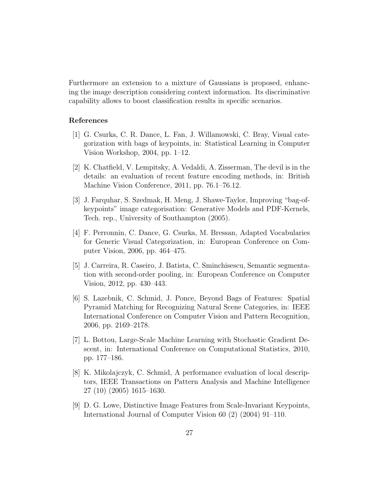Furthermore an extension to a mixture of Gaussians is proposed, enhancing the image description considering context information. Its discriminative capability allows to boost classification results in specific scenarios.

## References

- [1] G. Csurka, C. R. Dance, L. Fan, J. Willamowski, C. Bray, Visual categorization with bags of keypoints, in: Statistical Learning in Computer Vision Workshop, 2004, pp. 1–12.
- [2] K. Chatfield, V. Lempitsky, A. Vedaldi, A. Zisserman, The devil is in the details: an evaluation of recent feature encoding methods, in: British Machine Vision Conference, 2011, pp. 76.1–76.12.
- [3] J. Farquhar, S. Szedmak, H. Meng, J. Shawe-Taylor, Improving "bag-ofkeypoints" image categorisation: Generative Models and PDF-Kernels, Tech. rep., University of Southampton (2005).
- [4] F. Perronnin, C. Dance, G. Csurka, M. Bressan, Adapted Vocabularies for Generic Visual Categorization, in: European Conference on Computer Vision, 2006, pp. 464–475.
- [5] J. Carreira, R. Caseiro, J. Batista, C. Sminchisescu, Semantic segmentation with second-order pooling, in: European Conference on Computer Vision, 2012, pp. 430–443.
- [6] S. Lazebnik, C. Schmid, J. Ponce, Beyond Bags of Features: Spatial Pyramid Matching for Recognizing Natural Scene Categories, in: IEEE International Conference on Computer Vision and Pattern Recognition, 2006, pp. 2169–2178.
- [7] L. Bottou, Large-Scale Machine Learning with Stochastic Gradient Descent, in: International Conference on Computational Statistics, 2010, pp. 177–186.
- [8] K. Mikolajczyk, C. Schmid, A performance evaluation of local descriptors, IEEE Transactions on Pattern Analysis and Machine Intelligence 27 (10) (2005) 1615–1630.
- [9] D. G. Lowe, Distinctive Image Features from Scale-Invariant Keypoints, International Journal of Computer Vision 60 (2) (2004) 91–110.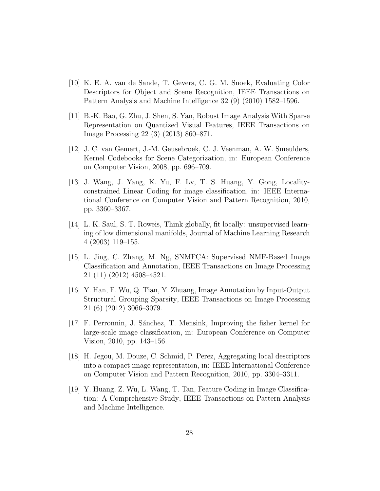- [10] K. E. A. van de Sande, T. Gevers, C. G. M. Snoek, Evaluating Color Descriptors for Object and Scene Recognition, IEEE Transactions on Pattern Analysis and Machine Intelligence 32 (9) (2010) 1582–1596.
- [11] B.-K. Bao, G. Zhu, J. Shen, S. Yan, Robust Image Analysis With Sparse Representation on Quantized Visual Features, IEEE Transactions on Image Processing 22 (3) (2013) 860–871.
- [12] J. C. van Gemert, J.-M. Geusebroek, C. J. Veenman, A. W. Smeulders, Kernel Codebooks for Scene Categorization, in: European Conference on Computer Vision, 2008, pp. 696–709.
- [13] J. Wang, J. Yang, K. Yu, F. Lv, T. S. Huang, Y. Gong, Localityconstrained Linear Coding for image classification, in: IEEE International Conference on Computer Vision and Pattern Recognition, 2010, pp. 3360–3367.
- [14] L. K. Saul, S. T. Roweis, Think globally, fit locally: unsupervised learning of low dimensional manifolds, Journal of Machine Learning Research 4 (2003) 119–155.
- [15] L. Jing, C. Zhang, M. Ng, SNMFCA: Supervised NMF-Based Image Classification and Annotation, IEEE Transactions on Image Processing 21 (11) (2012) 4508–4521.
- [16] Y. Han, F. Wu, Q. Tian, Y. Zhuang, Image Annotation by Input-Output Structural Grouping Sparsity, IEEE Transactions on Image Processing 21 (6) (2012) 3066–3079.
- [17] F. Perronnin, J. Sánchez, T. Mensink, Improving the fisher kernel for large-scale image classification, in: European Conference on Computer Vision, 2010, pp. 143–156.
- [18] H. Jegou, M. Douze, C. Schmid, P. Perez, Aggregating local descriptors into a compact image representation, in: IEEE International Conference on Computer Vision and Pattern Recognition, 2010, pp. 3304–3311.
- [19] Y. Huang, Z. Wu, L. Wang, T. Tan, Feature Coding in Image Classification: A Comprehensive Study, IEEE Transactions on Pattern Analysis and Machine Intelligence.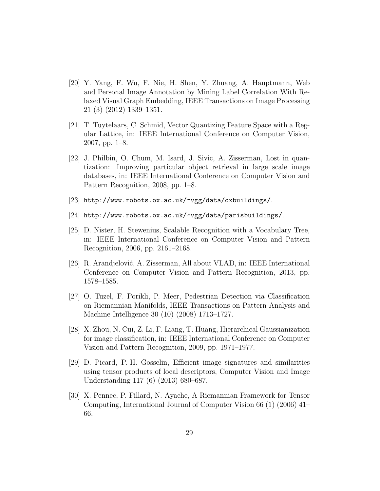- [20] Y. Yang, F. Wu, F. Nie, H. Shen, Y. Zhuang, A. Hauptmann, Web and Personal Image Annotation by Mining Label Correlation With Relaxed Visual Graph Embedding, IEEE Transactions on Image Processing 21 (3) (2012) 1339–1351.
- [21] T. Tuytelaars, C. Schmid, Vector Quantizing Feature Space with a Regular Lattice, in: IEEE International Conference on Computer Vision, 2007, pp. 1–8.
- [22] J. Philbin, O. Chum, M. Isard, J. Sivic, A. Zisserman, Lost in quantization: Improving particular object retrieval in large scale image databases, in: IEEE International Conference on Computer Vision and Pattern Recognition, 2008, pp. 1–8.
- [23] http://www.robots.ox.ac.uk/~vgg/data/oxbuildings/.
- [24] http://www.robots.ox.ac.uk/~vgg/data/parisbuildings/.
- [25] D. Nister, H. Stewenius, Scalable Recognition with a Vocabulary Tree, in: IEEE International Conference on Computer Vision and Pattern Recognition, 2006, pp. 2161–2168.
- [26] R. Arandjelović, A. Zisserman, All about VLAD, in: IEEE International Conference on Computer Vision and Pattern Recognition, 2013, pp. 1578–1585.
- [27] O. Tuzel, F. Porikli, P. Meer, Pedestrian Detection via Classification on Riemannian Manifolds, IEEE Transactions on Pattern Analysis and Machine Intelligence 30 (10) (2008) 1713–1727.
- [28] X. Zhou, N. Cui, Z. Li, F. Liang, T. Huang, Hierarchical Gaussianization for image classification, in: IEEE International Conference on Computer Vision and Pattern Recognition, 2009, pp. 1971–1977.
- [29] D. Picard, P.-H. Gosselin, Efficient image signatures and similarities using tensor products of local descriptors, Computer Vision and Image Understanding 117 (6) (2013) 680–687.
- [30] X. Pennec, P. Fillard, N. Ayache, A Riemannian Framework for Tensor Computing, International Journal of Computer Vision 66 (1) (2006) 41– 66.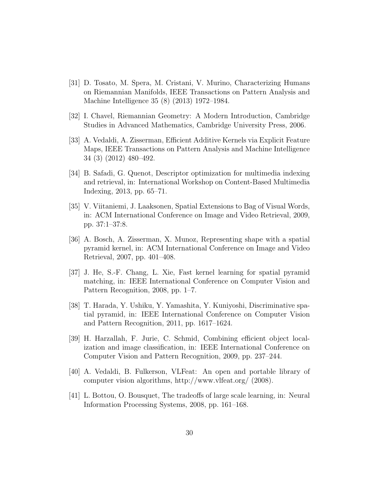- [31] D. Tosato, M. Spera, M. Cristani, V. Murino, Characterizing Humans on Riemannian Manifolds, IEEE Transactions on Pattern Analysis and Machine Intelligence 35 (8) (2013) 1972–1984.
- [32] I. Chavel, Riemannian Geometry: A Modern Introduction, Cambridge Studies in Advanced Mathematics, Cambridge University Press, 2006.
- [33] A. Vedaldi, A. Zisserman, Efficient Additive Kernels via Explicit Feature Maps, IEEE Transactions on Pattern Analysis and Machine Intelligence 34 (3) (2012) 480–492.
- [34] B. Safadi, G. Quenot, Descriptor optimization for multimedia indexing and retrieval, in: International Workshop on Content-Based Multimedia Indexing, 2013, pp. 65–71.
- [35] V. Viitaniemi, J. Laaksonen, Spatial Extensions to Bag of Visual Words, in: ACM International Conference on Image and Video Retrieval, 2009, pp. 37:1–37:8.
- [36] A. Bosch, A. Zisserman, X. Munoz, Representing shape with a spatial pyramid kernel, in: ACM International Conference on Image and Video Retrieval, 2007, pp. 401–408.
- [37] J. He, S.-F. Chang, L. Xie, Fast kernel learning for spatial pyramid matching, in: IEEE International Conference on Computer Vision and Pattern Recognition, 2008, pp. 1–7.
- [38] T. Harada, Y. Ushiku, Y. Yamashita, Y. Kuniyoshi, Discriminative spatial pyramid, in: IEEE International Conference on Computer Vision and Pattern Recognition, 2011, pp. 1617–1624.
- [39] H. Harzallah, F. Jurie, C. Schmid, Combining efficient object localization and image classification, in: IEEE International Conference on Computer Vision and Pattern Recognition, 2009, pp. 237–244.
- [40] A. Vedaldi, B. Fulkerson, VLFeat: An open and portable library of computer vision algorithms, http://www.vlfeat.org/ (2008).
- [41] L. Bottou, O. Bousquet, The tradeoffs of large scale learning, in: Neural Information Processing Systems, 2008, pp. 161–168.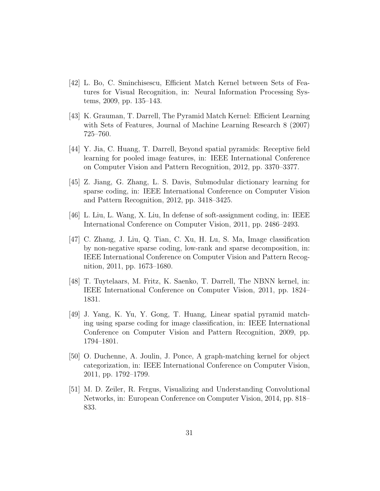- [42] L. Bo, C. Sminchisescu, Efficient Match Kernel between Sets of Features for Visual Recognition, in: Neural Information Processing Systems, 2009, pp. 135–143.
- [43] K. Grauman, T. Darrell, The Pyramid Match Kernel: Efficient Learning with Sets of Features, Journal of Machine Learning Research 8 (2007) 725–760.
- [44] Y. Jia, C. Huang, T. Darrell, Beyond spatial pyramids: Receptive field learning for pooled image features, in: IEEE International Conference on Computer Vision and Pattern Recognition, 2012, pp. 3370–3377.
- [45] Z. Jiang, G. Zhang, L. S. Davis, Submodular dictionary learning for sparse coding, in: IEEE International Conference on Computer Vision and Pattern Recognition, 2012, pp. 3418–3425.
- [46] L. Liu, L. Wang, X. Liu, In defense of soft-assignment coding, in: IEEE International Conference on Computer Vision, 2011, pp. 2486–2493.
- [47] C. Zhang, J. Liu, Q. Tian, C. Xu, H. Lu, S. Ma, Image classification by non-negative sparse coding, low-rank and sparse decomposition, in: IEEE International Conference on Computer Vision and Pattern Recognition, 2011, pp. 1673–1680.
- [48] T. Tuytelaars, M. Fritz, K. Saenko, T. Darrell, The NBNN kernel, in: IEEE International Conference on Computer Vision, 2011, pp. 1824– 1831.
- [49] J. Yang, K. Yu, Y. Gong, T. Huang, Linear spatial pyramid matching using sparse coding for image classification, in: IEEE International Conference on Computer Vision and Pattern Recognition, 2009, pp. 1794–1801.
- [50] O. Duchenne, A. Joulin, J. Ponce, A graph-matching kernel for object categorization, in: IEEE International Conference on Computer Vision, 2011, pp. 1792–1799.
- [51] M. D. Zeiler, R. Fergus, Visualizing and Understanding Convolutional Networks, in: European Conference on Computer Vision, 2014, pp. 818– 833.